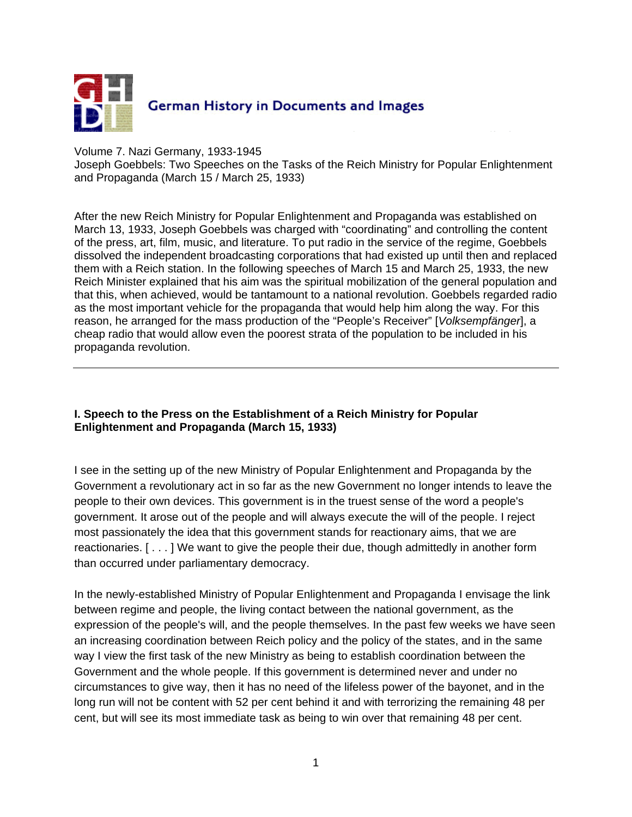

#### Volume 7. Nazi Germany, 1933-1945

Joseph Goebbels: Two Speeches on the Tasks of the Reich Ministry for Popular Enlightenment and Propaganda (March 15 / March 25, 1933)

After the new Reich Ministry for Popular Enlightenment and Propaganda was established on March 13, 1933, Joseph Goebbels was charged with "coordinating" and controlling the content of the press, art, film, music, and literature. To put radio in the service of the regime, Goebbels dissolved the independent broadcasting corporations that had existed up until then and replaced them with a Reich station. In the following speeches of March 15 and March 25, 1933, the new Reich Minister explained that his aim was the spiritual mobilization of the general population and that this, when achieved, would be tantamount to a national revolution. Goebbels regarded radio as the most important vehicle for the propaganda that would help him along the way. For this reason, he arranged for the mass production of the "People's Receiver" [*Volksempfänger*], a cheap radio that would allow even the poorest strata of the population to be included in his propaganda revolution.

#### **I. Speech to the Press on the Establishment of a Reich Ministry for Popular Enlightenment and Propaganda (March 15, 1933)**

I see in the setting up of the new Ministry of Popular Enlightenment and Propaganda by the Government a revolutionary act in so far as the new Government no longer intends to leave the people to their own devices. This government is in the truest sense of the word a people's government. It arose out of the people and will always execute the will of the people. I reject most passionately the idea that this government stands for reactionary aims, that we are reactionaries. [ . . . ] We want to give the people their due, though admittedly in another form than occurred under parliamentary democracy.

In the newly-established Ministry of Popular Enlightenment and Propaganda I envisage the link between regime and people, the living contact between the national government, as the expression of the people's will, and the people themselves. In the past few weeks we have seen an increasing coordination between Reich policy and the policy of the states, and in the same way I view the first task of the new Ministry as being to establish coordination between the Government and the whole people. If this government is determined never and under no circumstances to give way, then it has no need of the lifeless power of the bayonet, and in the long run will not be content with 52 per cent behind it and with terrorizing the remaining 48 per cent, but will see its most immediate task as being to win over that remaining 48 per cent.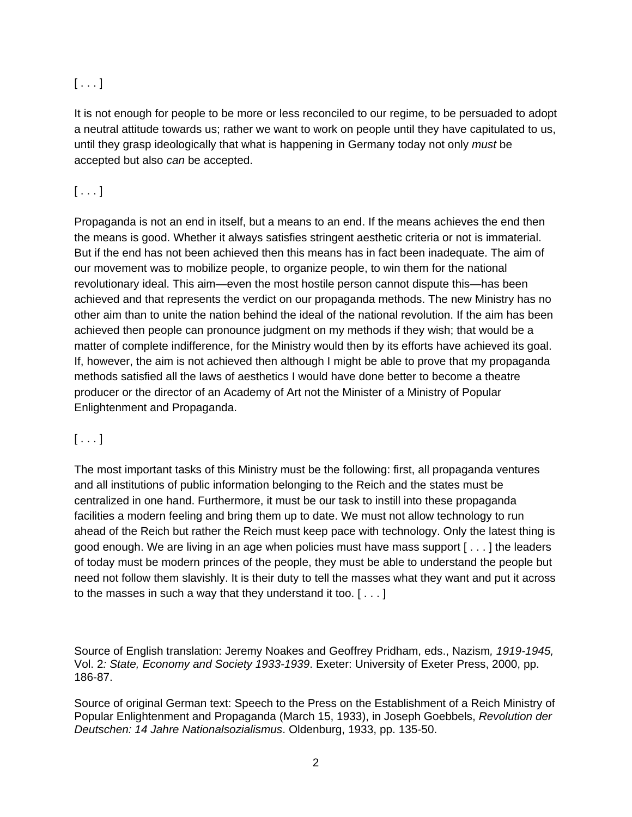# $[\ldots]$

It is not enough for people to be more or less reconciled to our regime, to be persuaded to adopt a neutral attitude towards us; rather we want to work on people until they have capitulated to us, until they grasp ideologically that what is happening in Germany today not only *must* be accepted but also *can* be accepted.

## $[\ldots]$

Propaganda is not an end in itself, but a means to an end. If the means achieves the end then the means is good. Whether it always satisfies stringent aesthetic criteria or not is immaterial. But if the end has not been achieved then this means has in fact been inadequate. The aim of our movement was to mobilize people, to organize people, to win them for the national revolutionary ideal. This aim—even the most hostile person cannot dispute this—has been achieved and that represents the verdict on our propaganda methods. The new Ministry has no other aim than to unite the nation behind the ideal of the national revolution. If the aim has been achieved then people can pronounce judgment on my methods if they wish; that would be a matter of complete indifference, for the Ministry would then by its efforts have achieved its goal. If, however, the aim is not achieved then although I might be able to prove that my propaganda methods satisfied all the laws of aesthetics I would have done better to become a theatre producer or the director of an Academy of Art not the Minister of a Ministry of Popular Enlightenment and Propaganda.

### $[\ldots]$

The most important tasks of this Ministry must be the following: first, all propaganda ventures and all institutions of public information belonging to the Reich and the states must be centralized in one hand. Furthermore, it must be our task to instill into these propaganda facilities a modern feeling and bring them up to date. We must not allow technology to run ahead of the Reich but rather the Reich must keep pace with technology. Only the latest thing is good enough. We are living in an age when policies must have mass support [ . . . ] the leaders of today must be modern princes of the people, they must be able to understand the people but need not follow them slavishly. It is their duty to tell the masses what they want and put it across to the masses in such a way that they understand it too. [ . . . ]

Source of English translation: Jeremy Noakes and Geoffrey Pridham, eds., Nazism*, 1919-1945,*  Vol. 2*: State, Economy and Society 1933-1939*. Exeter: University of Exeter Press, 2000, pp. 186-87.

Source of original German text: Speech to the Press on the Establishment of a Reich Ministry of Popular Enlightenment and Propaganda (March 15, 1933), in Joseph Goebbels, *Revolution der Deutschen: 14 Jahre Nationalsozialismus*. Oldenburg, 1933, pp. 135-50.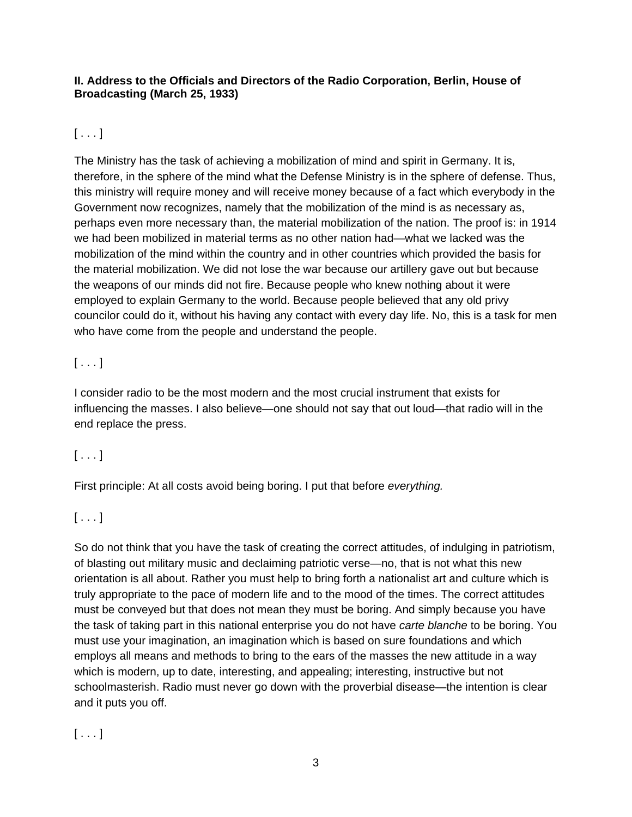#### **II. Address to the Officials and Directors of the Radio Corporation, Berlin, House of Broadcasting (March 25, 1933)**

## $[ . . . ]$

The Ministry has the task of achieving a mobilization of mind and spirit in Germany. It is, therefore, in the sphere of the mind what the Defense Ministry is in the sphere of defense. Thus, this ministry will require money and will receive money because of a fact which everybody in the Government now recognizes, namely that the mobilization of the mind is as necessary as, perhaps even more necessary than, the material mobilization of the nation. The proof is: in 1914 we had been mobilized in material terms as no other nation had—what we lacked was the mobilization of the mind within the country and in other countries which provided the basis for the material mobilization. We did not lose the war because our artillery gave out but because the weapons of our minds did not fire. Because people who knew nothing about it were employed to explain Germany to the world. Because people believed that any old privy councilor could do it, without his having any contact with every day life. No, this is a task for men who have come from the people and understand the people.

### $[\ldots]$

I consider radio to be the most modern and the most crucial instrument that exists for influencing the masses. I also believe—one should not say that out loud—that radio will in the end replace the press.

### $\lceil \ldots \rceil$

First principle: At all costs avoid being boring. I put that before *everything.*

### $[\ldots]$

So do not think that you have the task of creating the correct attitudes, of indulging in patriotism, of blasting out military music and declaiming patriotic verse—no, that is not what this new orientation is all about. Rather you must help to bring forth a nationalist art and culture which is truly appropriate to the pace of modern life and to the mood of the times. The correct attitudes must be conveyed but that does not mean they must be boring. And simply because you have the task of taking part in this national enterprise you do not have *carte blanche* to be boring. You must use your imagination, an imagination which is based on sure foundations and which employs all means and methods to bring to the ears of the masses the new attitude in a way which is modern, up to date, interesting, and appealing; interesting, instructive but not schoolmasterish. Radio must never go down with the proverbial disease—the intention is clear and it puts you off.

 $[ . . . ]$